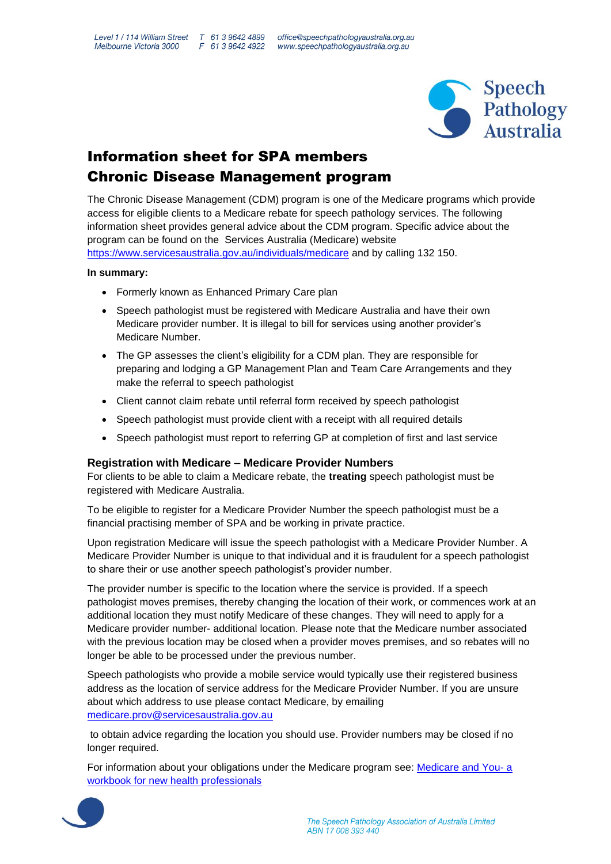

## Information sheet for SPA members Chronic Disease Management program

The Chronic Disease Management (CDM) program is one of the Medicare programs which provide access for eligible clients to a Medicare rebate for speech pathology services. The following information sheet provides general advice about the CDM program. Specific advice about the program can be found on the Services Australia (Medicare) website <https://www.servicesaustralia.gov.au/individuals/medicare> and by calling 132 150.

#### **In summary:**

- Formerly known as Enhanced Primary Care plan
- Speech pathologist must be registered with Medicare Australia and have their own Medicare provider number. It is illegal to bill for services using another provider's Medicare Number.
- The GP assesses the client's eligibility for a CDM plan. They are responsible for preparing and lodging a GP Management Plan and Team Care Arrangements and they make the referral to speech pathologist
- Client cannot claim rebate until referral form received by speech pathologist
- Speech pathologist must provide client with a receipt with all required details
- Speech pathologist must report to referring GP at completion of first and last service

## **Registration with Medicare – Medicare Provider Numbers**

For clients to be able to claim a Medicare rebate, the **treating** speech pathologist must be registered with Medicare Australia.

To be eligible to register for a Medicare Provider Number the speech pathologist must be a financial practising member of SPA and be working in private practice.

Upon registration Medicare will issue the speech pathologist with a Medicare Provider Number. A Medicare Provider Number is unique to that individual and it is fraudulent for a speech pathologist to share their or use another speech pathologist's provider number.

The provider number is specific to the location where the service is provided. If a speech pathologist moves premises, thereby changing the location of their work, or commences work at an additional location they must notify Medicare of these changes. They will need to apply for a Medicare provider number- additional location. Please note that the Medicare number associated with the previous location may be closed when a provider moves premises, and so rebates will no longer be able to be processed under the previous number.

Speech pathologists who provide a mobile service would typically use their registered business address as the location of service address for the Medicare Provider Number. If you are unsure about which address to use please contact Medicare, by emailing [medicare.prov@servicesaustralia.gov.au](mailto:medicare.prov@servicesaustralia.gov.au)

to obtain advice regarding the location you should use. Provider numbers may be closed if no longer required.

For information about your obligations under the Medicare program see: [Medicare and You-](http://www.m2m.asn.au/downloads/intern-orientation-manual/section-10-resources/139-medicare-workbook/file.html) a [workbook for new health professionals](http://www.m2m.asn.au/downloads/intern-orientation-manual/section-10-resources/139-medicare-workbook/file.html) 

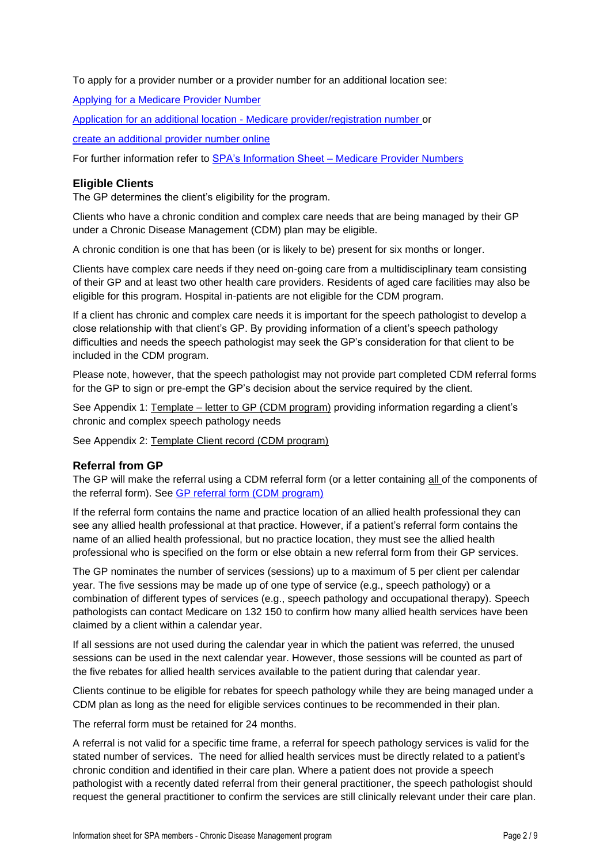To apply for a provider number or a provider number for an additional location see:

[Applying for a Medicare Provider Number](https://www.humanservices.gov.au/organisations/health-professionals/services/medicare/medicare-benefits-health-professionals/apply-medicare-provider-number/applying-medicare-provider-number#a1)

Application for an additional location - [Medicare provider/registration number o](https://www.humanservices.gov.au/organisations/health-professionals/forms/hw093)r

[create an additional provider number online](https://www.humanservices.gov.au/health-professionals/news/create-additional-medicare-provider-numbers-online)

For further information refer to SPA's Information Sheet – [Medicare Provider Numbers](javascript://%5BUploaded%20files/Resources%20for%20Speech%20Pathologists/Rebates%20and%20Funded%20Programs/Medicare%20Programs%20and%20%20Registering%20for%20a%20provider%20number%20SPA%20Info%20Sheet%20October%202019.pdf%5D)

### **Eligible Clients**

The GP determines the client's eligibility for the program.

Clients who have a chronic condition and complex care needs that are being managed by their GP under a Chronic Disease Management (CDM) plan may be eligible.

A chronic condition is one that has been (or is likely to be) present for six months or longer.

Clients have complex care needs if they need on-going care from a multidisciplinary team consisting of their GP and at least two other health care providers. Residents of aged care facilities may also be eligible for this program. Hospital in-patients are not eligible for the CDM program.

If a client has chronic and complex care needs it is important for the speech pathologist to develop a close relationship with that client's GP. By providing information of a client's speech pathology difficulties and needs the speech pathologist may seek the GP's consideration for that client to be included in the CDM program.

Please note, however, that the speech pathologist may not provide part completed CDM referral forms for the GP to sign or pre-empt the GP's decision about the service required by the client.

See Appendix 1: Template – letter to GP (CDM program) providing information regarding a client's chronic and complex speech pathology needs

See Appendix 2: Template Client record (CDM program)

#### **Referral from GP**

The GP will make the referral using a CDM referral form (or a letter containing all of the components of the referral form). See [GP referral form \(CDM program\)](http://www.health.gov.au/internet/main/publishing.nsf/Content/health-medicare-health_pro-gp-pdf-ahs-cnt.htm) 

If the referral form contains the name and practice location of an allied health professional they can see any allied health professional at that practice. However, if a patient's referral form contains the name of an allied health professional, but no practice location, they must see the allied health professional who is specified on the form or else obtain a new referral form from their GP services.

The GP nominates the number of services (sessions) up to a maximum of 5 per client per calendar year. The five sessions may be made up of one type of service (e.g., speech pathology) or a combination of different types of services (e.g., speech pathology and occupational therapy). Speech pathologists can contact Medicare on 132 150 to confirm how many allied health services have been claimed by a client within a calendar year.

If all sessions are not used during the calendar year in which the patient was referred, the unused sessions can be used in the next calendar year. However, those sessions will be counted as part of the five rebates for allied health services available to the patient during that calendar year.

Clients continue to be eligible for rebates for speech pathology while they are being managed under a CDM plan as long as the need for eligible services continues to be recommended in their plan.

The referral form must be retained for 24 months.

A referral is not valid for a specific time frame, a referral for speech pathology services is valid for the stated number of services.The need for allied health services must be directly related to a patient's chronic condition and identified in their care plan. Where a patient does not provide a speech pathologist with a recently dated referral from their general practitioner, the speech pathologist should request the general practitioner to confirm the services are still clinically relevant under their care plan.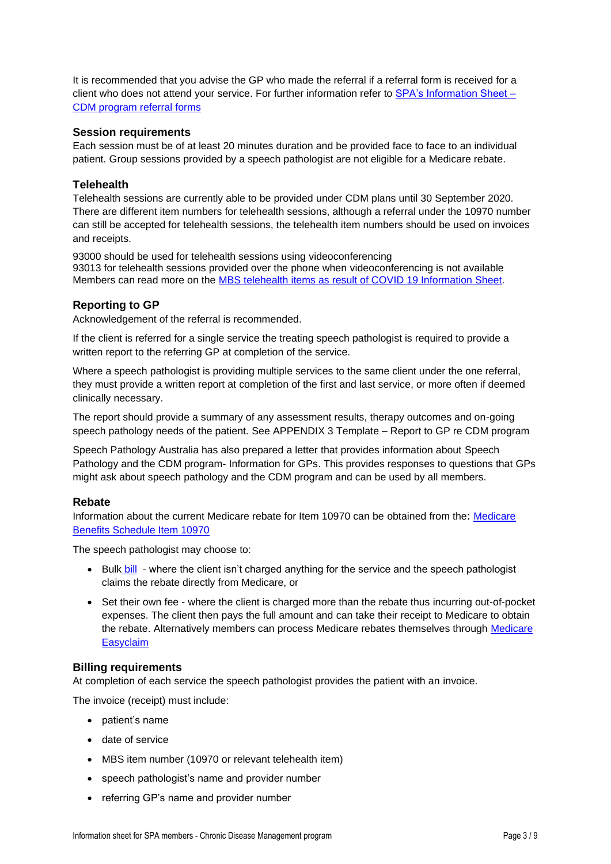It is recommended that you advise the GP who made the referral if a referral form is received for a client who does not attend your service. For further information refer to [SPA's Information Sheet –](javascript://%5BUploaded%20files/Resources%20for%20Speech%20Pathologists/Rebates%20and%20Funded%20Programs/CDM%20program%20referral%20forms%20FAQs%20Aug%202019.pdf%5D) [CDM program referral forms](javascript://%5BUploaded%20files/Resources%20for%20Speech%20Pathologists/Rebates%20and%20Funded%20Programs/CDM%20program%20referral%20forms%20FAQs%20Aug%202019.pdf%5D)

## **Session requirements**

Each session must be of at least 20 minutes duration and be provided face to face to an individual patient. Group sessions provided by a speech pathologist are not eligible for a Medicare rebate.

## **Telehealth**

Telehealth sessions are currently able to be provided under CDM plans until 30 September 2020. There are different item numbers for telehealth sessions, although a referral under the 10970 number can still be accepted for telehealth sessions, the telehealth item numbers should be used on invoices and receipts.

93000 should be used for telehealth sessions using videoconferencing 93013 for telehealth sessions provided over the phone when videoconferencing is not available Members can read more on the MBS telehealth [items as result of COVID 19 Information Sheet.](https://speechpathologyaustralia.org.au/SPAweb/About_us/COVID-19_News_and_Information/COVID-19_-_Medicare_and_Private_Health_Funds/SPAweb/About_Us/News/COVID-19_-_Medicare_and_PHI.aspx?hkey=65ba8d1e-680e-4700-b4d1-7c11becc771b#medicare)

## **Reporting to GP**

Acknowledgement of the referral is recommended.

If the client is referred for a single service the treating speech pathologist is required to provide a written report to the referring GP at completion of the service.

Where a speech pathologist is providing multiple services to the same client under the one referral, they must provide a written report at completion of the first and last service, or more often if deemed clinically necessary.

The report should provide a summary of any assessment results, therapy outcomes and on-going speech pathology needs of the patient. See APPENDIX 3 Template – Report to GP re CDM program

Speech Pathology Australia has also prepared a letter that provides information about [Speech](http://javascript/%5bUploaded%20files/Resources%20for%20Speech%20Pathologists/Rebates%20and%20Funded%20Programs/Speech%20pathology%20and%20the%20CDM%20program%20-%20Info%20sheet%20for%20GPs%20Sept%2019.pdf%5d)  [Pathology and the CDM program-](http://javascript/%5bUploaded%20files/Resources%20for%20Speech%20Pathologists/Rebates%20and%20Funded%20Programs/Speech%20pathology%20and%20the%20CDM%20program%20-%20Info%20sheet%20for%20GPs%20Sept%2019.pdf%5d) Information for GPs. This provides responses to questions that GPs might ask about speech pathology and the CDM program and can be used by all members.

## **Rebate**

Information about the current Medicare rebate for Item 10970 can be obtained from the: [Medicare](http://www9.health.gov.au/mbs/fullDisplay.cfm?type=item&qt=ItemID&q=10970)  [Benefits Schedule Item 10970](http://www9.health.gov.au/mbs/fullDisplay.cfm?type=item&qt=ItemID&q=10970)

The speech pathologist may choose to:

- [Bulk](https://www.servicesaustralia.gov.au/organisations/health-professionals/subjects/bulk-bill-payments-health-professionals) bill where the client isn't charged anything for the service and the speech pathologist claims the rebate directly from Medicare, or
- Set their own fee where the client is charged more than the rebate thus incurring out-of-pocket expenses. The client then pays the full amount and can take their receipt to Medicare to obtain the rebate. Alternatively members can process [Medicare](https://www.servicesaustralia.gov.au/organisations/health-professionals/services/medicare/medicare-easyclaim) rebates themselves through Medicare **[Easyclaim](https://www.servicesaustralia.gov.au/organisations/health-professionals/services/medicare/medicare-easyclaim)**

## **Billing requirements**

At completion of each service the speech pathologist provides the patient with an invoice.

The invoice (receipt) must include:

- patient's name
- date of service
- MBS item number (10970 or relevant telehealth item)
- speech pathologist's name and provider number
- referring GP's name and provider number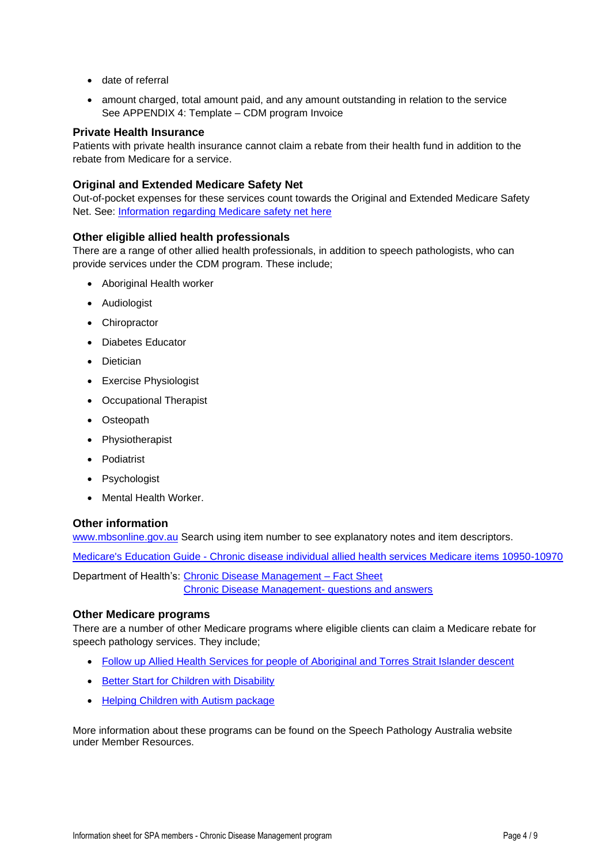- date of referral
- amount charged, total amount paid, and any amount outstanding in relation to the service See APPENDIX 4: Template – [CDM program Invoice](file://///SPA-DC/SPA%20Data/Professional%20Practice/Info%20Sheets%20and%20Guides%20for%20members/Profroma_Medicare_Invoice_for_client%20Feb%202014.doc)

## **Private Health Insurance**

Patients with private health insurance cannot claim a rebate from their health fund in addition to the rebate from Medicare for a service.

## **Original and Extended Medicare Safety Net**

Out-of-pocket expenses for these services count towards the Original and Extended Medicare Safety Net. See: [Information regarding Medicare safety net here](http://www.humanservices.gov.au/customer/services/medicare/medicare-safety-net?utm_id=9) 

## **Other eligible allied health professionals**

There are a range of other allied health professionals, in addition to speech pathologists, who can provide services under the CDM program. These include;

- Aboriginal Health worker
- Audiologist
- Chiropractor
- Diabetes Educator
- Dietician
- Exercise Physiologist
- Occupational Therapist
- Osteopath
- Physiotherapist
- Podiatrist
- Psychologist
- Mental Health Worker.

#### **Other information**

[www.mbsonline.gov.au](http://www.mbsonline.gov.au/) Search using item number to see explanatory notes and item descriptors.

Medicare's Education Guide - [Chronic disease individual allied health services Medicare items 10950-10970](http://www.humanservices.gov.au/health-professionals/services/education/education-guide-chronic-disease-individual-ahs-medicare-items-10950-10970)

Department of Health's: [Chronic Disease Management –](http://www.health.gov.au/internet/main/publishing.nsf/Content/mbsprimarycare-factsheet-chronicdisease.htm) Fact Sheet [Chronic Disease Management-](http://www.health.gov.au/internet/main/publishing.nsf/Content/030C0CED16935261CA257BF0001D39DB/$File/CDM-qandas-feb4.pdf) questions and answers

## **Other Medicare programs**

There are a number of other Medicare programs where eligible clients can claim a Medicare rebate for speech pathology services. They include;

- [Follow up Allied Health Services for people of Aboriginal and Torres Strait Islander descent](http://www9.health.gov.au/mbs/fullDisplay.cfm?type=item&qt=ItemID&q=81360)
- [Better Start for Children with Disability](http://www9.health.gov.au/mbs/fullDisplay.cfm?type=item&qt=ItemID&q=82020)
- [Helping Children with Autism package](http://www9.health.gov.au/mbs/fullDisplay.cfm?type=item&qt=ItemID&q=82005)

More information about these programs can be found on the Speech Pathology Australia website under Member Resources.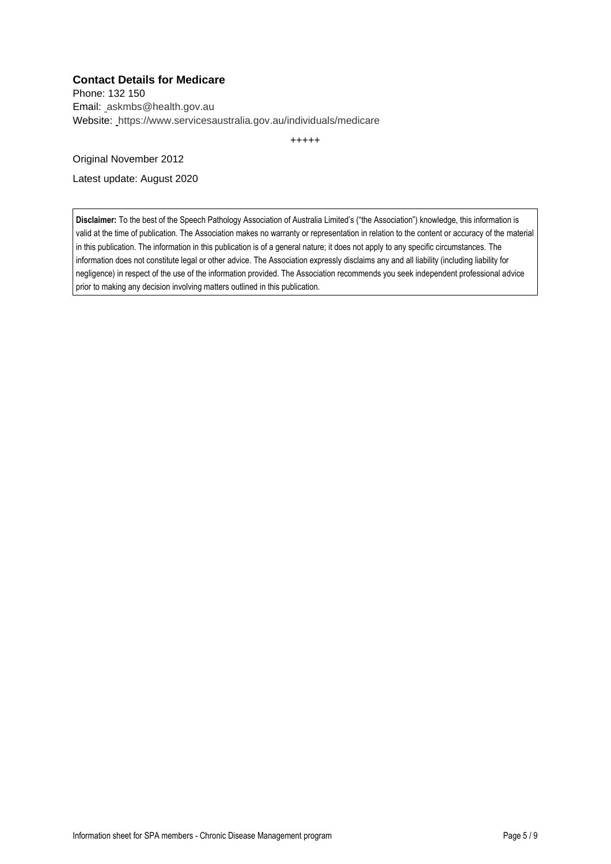## **Contact Details for Medicare**

Phone: 132 150 Email: askmbs@health.gov.au Website: https://www.servicesaustralia.gov.au/individuals/medicare

+++++

Original November 2012

Latest update: August 2020

**Disclaimer:** To the best of the Speech Pathology Association of Australia Limited's ("the Association") knowledge, this information is valid at the time of publication. The Association makes no warranty or representation in relation to the content or accuracy of the material in this publication. The information in this publication is of a general nature; it does not apply to any specific circumstances. The information does not constitute legal or other advice. The Association expressly disclaims any and all liability (including liability for negligence) in respect of the use of the information provided. The Association recommends you seek independent professional advice prior to making any decision involving matters outlined in this publication.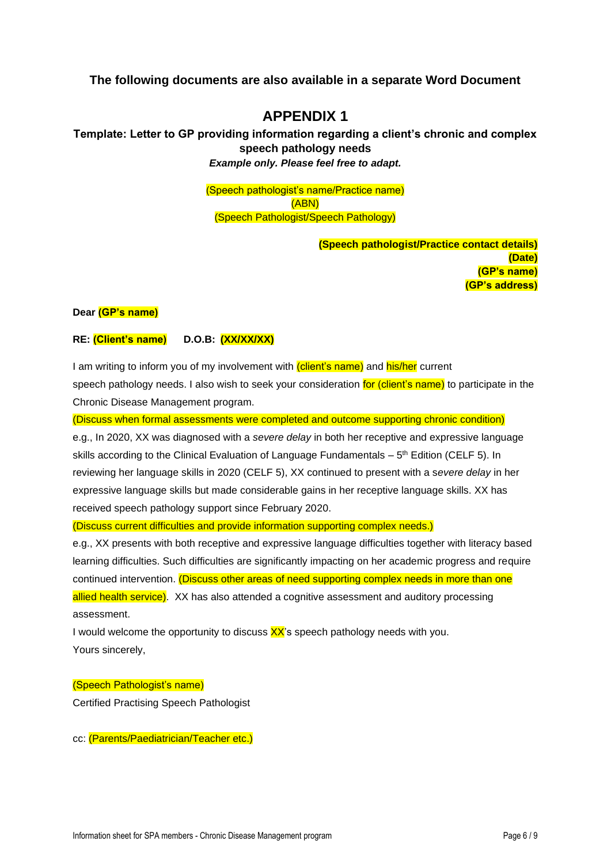## **The following documents are also available in a separate Word Document**

## **APPENDIX 1**

**Template: Letter to GP providing information regarding a client's chronic and complex speech pathology needs** *Example only. Please feel free to adapt.*

> (Speech pathologist's name/Practice name) (ABN) (Speech Pathologist/Speech Pathology)

> > **(Speech pathologist/Practice contact details) (Date) (GP's name) (GP's address)**

#### **Dear (GP's name)**

#### **RE: (Client's name) D.O.B: (XX/XX/XX)**

I am writing to inform you of my involvement with (client's name) and his/her current speech pathology needs. I also wish to seek your consideration for (client's name) to participate in the Chronic Disease Management program.

(Discuss when formal assessments were completed and outcome supporting chronic condition)

e.g., In 2020, XX was diagnosed with a *severe delay* in both her receptive and expressive language skills according to the Clinical Evaluation of Language Fundamentals  $-5<sup>th</sup>$  Edition (CELF 5). In reviewing her language skills in 2020 (CELF 5), XX continued to present with a s*evere delay* in her expressive language skills but made considerable gains in her receptive language skills. XX has received speech pathology support since February 2020.

(Discuss current difficulties and provide information supporting complex needs.)

e.g., XX presents with both receptive and expressive language difficulties together with literacy based learning difficulties. Such difficulties are significantly impacting on her academic progress and require continued intervention. (Discuss other areas of need supporting complex needs in more than one allied health service). XX has also attended a cognitive assessment and auditory processing assessment.

I would welcome the opportunity to discuss  $XX$ 's speech pathology needs with you. Yours sincerely,

# (Speech Pathologist's name)

Certified Practising Speech Pathologist

cc: (Parents/Paediatrician/Teacher etc.)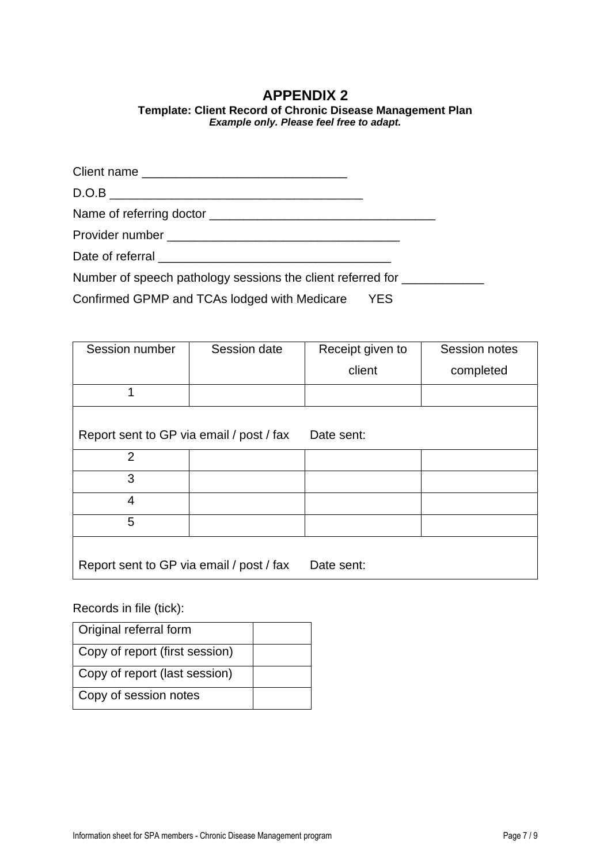## **APPENDIX 2**

## **Template: Client Record of Chronic Disease Management Plan** *Example only. Please feel free to adapt.*

| Number of speech pathology sessions the client referred for |  |
|-------------------------------------------------------------|--|
|                                                             |  |

Confirmed GPMP and TCAs lodged with Medicare YES

| Session number                           | Session date | Receipt given to | Session notes |
|------------------------------------------|--------------|------------------|---------------|
|                                          |              | client           | completed     |
|                                          |              |                  |               |
| Report sent to GP via email / post / fax |              | Date sent:       |               |
| $\overline{2}$                           |              |                  |               |
| 3                                        |              |                  |               |
| 4                                        |              |                  |               |
| 5                                        |              |                  |               |
| Report sent to GP via email / post / fax |              | Date sent:       |               |

Records in file (tick):

| Original referral form         |  |
|--------------------------------|--|
| Copy of report (first session) |  |
| Copy of report (last session)  |  |
| Copy of session notes          |  |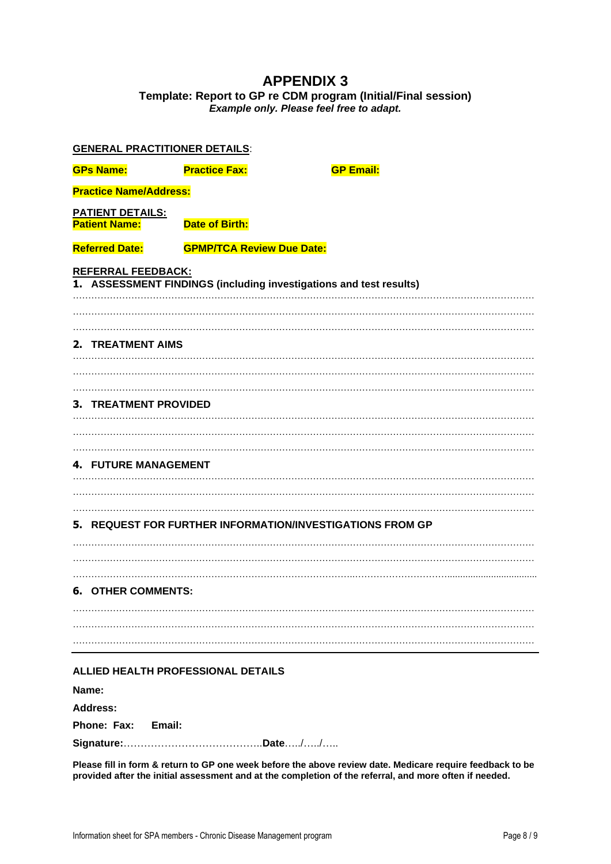## **APPENDIX 3 Template: Report to GP re CDM program (Initial/Final session)** *Example only. Please feel free to adapt.*

| <b>GENERAL PRACTITIONER DETAILS:</b>            |                                  |                                                                    |  |
|-------------------------------------------------|----------------------------------|--------------------------------------------------------------------|--|
| <b>GPs Name:</b>                                | <b>Practice Fax:</b>             | <b>GP Email:</b>                                                   |  |
| <b>Practice Name/Address:</b>                   |                                  |                                                                    |  |
| <b>PATIENT DETAILS:</b><br><b>Patient Name:</b> | <b>Date of Birth:</b>            |                                                                    |  |
| <b>Referred Date:</b>                           | <b>GPMP/TCA Review Due Date:</b> |                                                                    |  |
| <b>REFERRAL FEEDBACK:</b>                       |                                  | 1. ASSESSMENT FINDINGS (including investigations and test results) |  |
| 2. TREATMENT AIMS                               |                                  |                                                                    |  |
| 3. TREATMENT PROVIDED                           |                                  |                                                                    |  |
| <b>4. FUTURE MANAGEMENT</b>                     |                                  |                                                                    |  |
|                                                 |                                  | 5. REQUEST FOR FURTHER INFORMATION/INVESTIGATIONS FROM GP          |  |
| <b>6. OTHER COMMENTS:</b>                       |                                  |                                                                    |  |
|                                                 |                                  |                                                                    |  |
| ALLIED HEALTH PROFESSIONAL DETAILS              |                                  |                                                                    |  |

**Name:** 

**Address: Phone: Fax: Email:**

**Signature:**…………………………………..**Date**…../…../…..

**Please fill in form & return to GP one week before the above review date. Medicare require feedback to be provided after the initial assessment and at the completion of the referral, and more often if needed.**